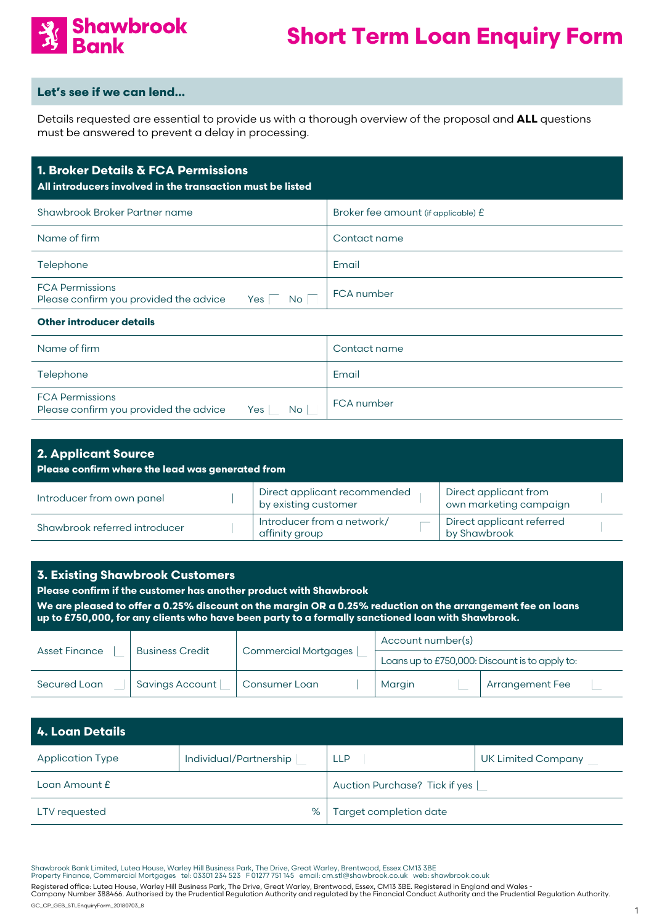

#### **Let's see if we can lend…**

Details requested are essential to provide us with a thorough overview of the proposal and **ALL** questions must be answered to prevent a delay in processing.

| 1. Broker Details & FCA Permissions<br>All introducers involved in the transaction must be listed |                                     |  |  |
|---------------------------------------------------------------------------------------------------|-------------------------------------|--|--|
| Shawbrook Broker Partner name                                                                     | Broker fee amount (if applicable) £ |  |  |
| Name of firm                                                                                      | Contact name                        |  |  |
| Telephone                                                                                         | Email                               |  |  |
| <b>FCA Permissions</b><br>Please confirm you provided the advice<br>Yes<br>No.                    | FCA number                          |  |  |
| <b>Other introducer details</b>                                                                   |                                     |  |  |
| Name of firm                                                                                      | Contact name                        |  |  |
| Telephone                                                                                         | Email                               |  |  |

| Telephone i                                               |     |    | Email      |
|-----------------------------------------------------------|-----|----|------------|
| FCA Permissions<br>Please confirm you provided the advice | Yes | No | FCA number |

| <b>2. Applicant Source</b><br>Please confirm where the lead was generated from |                                                      |                                                 |  |
|--------------------------------------------------------------------------------|------------------------------------------------------|-------------------------------------------------|--|
| Introducer from own panel                                                      | Direct applicant recommended<br>by existing customer | Direct applicant from<br>own marketing campaign |  |
| Shawbrook referred introducer                                                  | Introducer from a network/<br>affinity group         | Direct applicant referred<br>by Shawbrook       |  |

| <b>3. Existing Shawbrook Customers</b><br>Please confirm if the customer has another product with Shawbrook<br>We are pleased to offer a 0.25% discount on the margin OR a 0.25% reduction on the arrangement fee on loans<br>up to £750,000, for any clients who have been party to a formally sanctioned loan with Shawbrook. |                        |                             |                                                |  |
|---------------------------------------------------------------------------------------------------------------------------------------------------------------------------------------------------------------------------------------------------------------------------------------------------------------------------------|------------------------|-----------------------------|------------------------------------------------|--|
|                                                                                                                                                                                                                                                                                                                                 | <b>Business Credit</b> |                             | Account number(s)                              |  |
| <b>Asset Finance</b>                                                                                                                                                                                                                                                                                                            |                        | <b>Commercial Mortgages</b> | Loans up to £750,000: Discount is to apply to: |  |
| Secured Loan                                                                                                                                                                                                                                                                                                                    | Savings Account        | Consumer Loan               | <b>Arrangement Fee</b><br>Margin               |  |

| 4. Loan Details         |                        |                               |                    |
|-------------------------|------------------------|-------------------------------|--------------------|
| <b>Application Type</b> | Individual/Partnership | <b>LLP</b>                    | UK Limited Company |
| Loan Amount £           |                        | Auction Purchase? Tick if yes |                    |
| LTV requested           | %                      | Target completion date        |                    |

Shawbrook Bank Limited, Lutea House, Warley Hill Business Park, The Drive, Great Warley, Brentwood, Essex CM13 3BE<br>Property Finance, Commercial Mortgages tel: 03301 234 523 F 01277 751 145 email: cm.stl@shawbrook.co.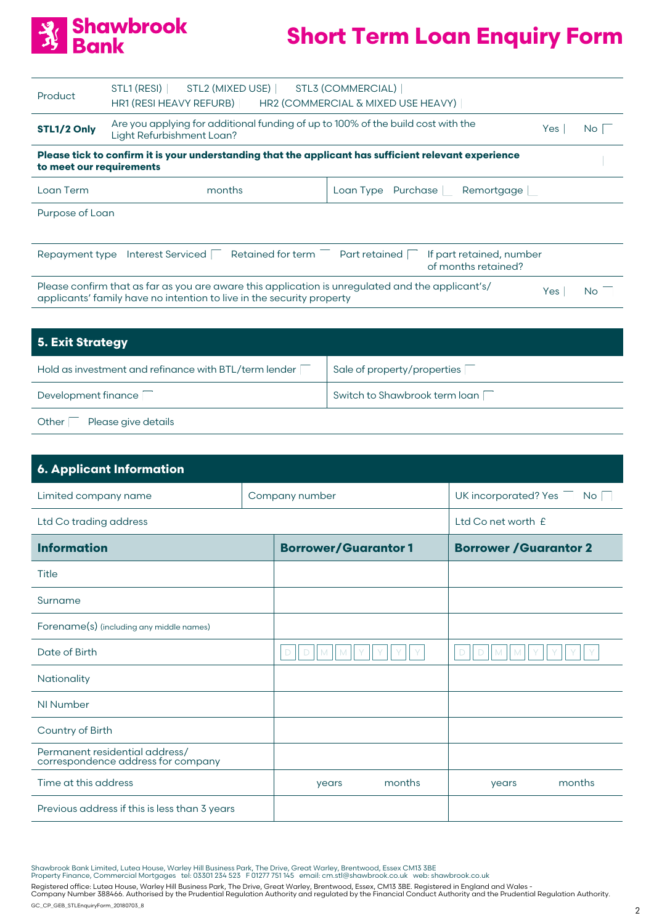

| Product                  | STL1 (RESI) STL2 (MIXED USE)<br>HR1 (RESI HEAVY REFURB)                                                                                                                   | STL3 (COMMERCIAL)<br>HR2 (COMMERCIAL & MIXED USE HEAVY) |                                                 |                 |           |
|--------------------------|---------------------------------------------------------------------------------------------------------------------------------------------------------------------------|---------------------------------------------------------|-------------------------------------------------|-----------------|-----------|
| STL1/2 Only              | Are you applying for additional funding of up to 100% of the build cost with the<br>Yes<br>Light Refurbishment Loan?                                                      |                                                         |                                                 | No <sub>1</sub> |           |
| to meet our requirements | Please tick to confirm it is your understanding that the applicant has sufficient relevant experience                                                                     |                                                         |                                                 |                 |           |
| Loan Term                | months                                                                                                                                                                    |                                                         | Loan Type Purchase Remortgage                   |                 |           |
| Purpose of Loan          |                                                                                                                                                                           |                                                         |                                                 |                 |           |
| Repayment type           | Retained for term<br><b>Interest Serviced</b>                                                                                                                             | Part retained                                           | If part retained, number<br>of months retained? |                 |           |
|                          | Please confirm that as far as you are aware this application is unregulated and the applicant's/<br>applicants' family have no intention to live in the security property |                                                         |                                                 | Yes             | <b>No</b> |

| 5. Exit Strategy                                      |                               |
|-------------------------------------------------------|-------------------------------|
| Hold as investment and refinance with BTL/term lender | Sale of property/properties   |
| Development finance                                   | Switch to Shawbrook term loan |
| Please give details<br>Other                          |                               |

| <b>6. Applicant Information</b>                                      |                |                            |                              |                               |        |
|----------------------------------------------------------------------|----------------|----------------------------|------------------------------|-------------------------------|--------|
| Limited company name                                                 | Company number |                            | UK incorporated? Yes<br>No l |                               |        |
| Ltd Co trading address                                               |                |                            |                              | Ltd Co net worth £            |        |
| <b>Information</b>                                                   |                | <b>Borrower/Guarantor1</b> |                              | <b>Borrower / Guarantor 2</b> |        |
| Title                                                                |                |                            |                              |                               |        |
| Surname                                                              |                |                            |                              |                               |        |
| Forename(s) (including any middle names)                             |                |                            |                              |                               |        |
| Date of Birth                                                        |                | D                          |                              | D                             |        |
| Nationality                                                          |                |                            |                              |                               |        |
| NI Number                                                            |                |                            |                              |                               |        |
| Country of Birth                                                     |                |                            |                              |                               |        |
| Permanent residential address/<br>correspondence address for company |                |                            |                              |                               |        |
| Time at this address                                                 |                | years                      | months                       | years                         | months |
| Previous address if this is less than 3 years                        |                |                            |                              |                               |        |

Shawbrook Bank Limited, Lutea House, Warley Hill Business Park, The Drive, Great Warley, Brentwood, Essex CM13 3BE<br>Property Finance, Commercial Mortgages tel: 03301 234 523 F 01277 751 145 email: cm.stl@shawbrook.co.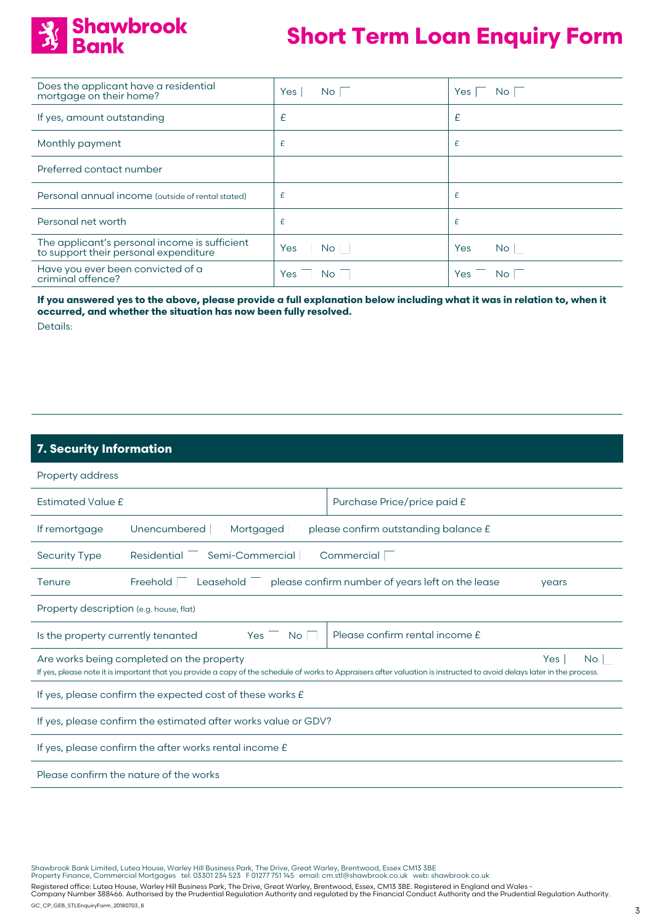

| Does the applicant have a residential<br>mortgage on their home?                       | Yes<br>No.       | Yes<br>No I      |
|----------------------------------------------------------------------------------------|------------------|------------------|
| If yes, amount outstanding                                                             | £                | £                |
| Monthly payment                                                                        | £                | £                |
| Preferred contact number                                                               |                  |                  |
| Personal annual income (outside of rental stated)                                      | £                | £                |
| Personal net worth                                                                     | £                | £                |
| The applicant's personal income is sufficient<br>to support their personal expenditure | Yes<br><b>No</b> | Yes<br><b>No</b> |
| Have you ever been convicted of a<br>criminal offence?                                 | Yes<br>No.       | Yes<br>No.       |

**If you answered yes to the above, please provide a full explanation below including what it was in relation to, when it occurred, and whether the situation has now been fully resolved.** Details:

### **7. Security Information**

| Property address                                                                                                                                                                                                                  |                                                                   |                                                  |       |  |
|-----------------------------------------------------------------------------------------------------------------------------------------------------------------------------------------------------------------------------------|-------------------------------------------------------------------|--------------------------------------------------|-------|--|
| <b>Estimated Value £</b>                                                                                                                                                                                                          |                                                                   | Purchase Price/price paid £                      |       |  |
| If remortgage                                                                                                                                                                                                                     | please confirm outstanding balance £<br>Unencumbered<br>Mortgaged |                                                  |       |  |
| <b>Security Type</b>                                                                                                                                                                                                              | Semi-Commercial<br>Residential                                    | Commercial                                       |       |  |
| Tenure                                                                                                                                                                                                                            | Freehold<br>Leasehold                                             | please confirm number of years left on the lease | years |  |
| Property description (e.g. house, flat)                                                                                                                                                                                           |                                                                   |                                                  |       |  |
| Please confirm rental income £<br>Is the property currently tenanted<br>Yes<br><b>No</b>                                                                                                                                          |                                                                   |                                                  |       |  |
| Are works being completed on the property<br>Yes<br>No.<br>If yes, please note it is important that you provide a copy of the schedule of works to Appraisers after valuation is instructed to avoid delays later in the process. |                                                                   |                                                  |       |  |
| If yes, please confirm the expected cost of these works £                                                                                                                                                                         |                                                                   |                                                  |       |  |
| If yes, please confirm the estimated after works value or GDV?                                                                                                                                                                    |                                                                   |                                                  |       |  |
| If yes, please confirm the after works rental income £                                                                                                                                                                            |                                                                   |                                                  |       |  |
| Please confirm the nature of the works                                                                                                                                                                                            |                                                                   |                                                  |       |  |

Shawbrook Bank Limited, Lutea House, Warley Hill Business Park, The Drive, Great Warley, Brentwood, Essex CM13 3BE<br>Property Finance, Commercial Mortgages tel: 03301 234 523 F 01277 751 145 email: cm.stl@shawbrook.co.